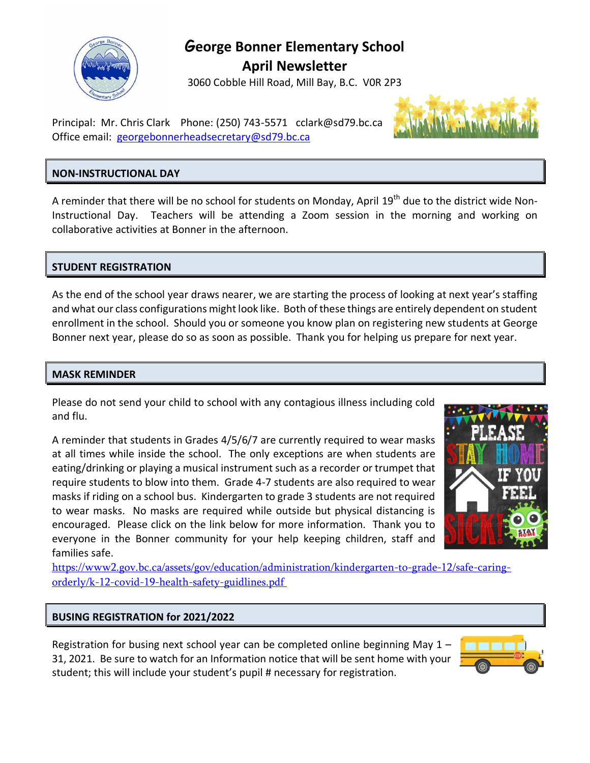

## **George Bonner Elementary School**

**April Newsletter**

3060 Cobble Hill Road, Mill Bay, B.C. V0R 2P3

Principal: Mr. Chris Clark Phone: (250) 743-5571 [cclark@sd79.bc.ca](mailto:cclark@sd79.bc.ca) Office email: [georgebonnerheadsecretary@sd79.bc.ca](mailto:georgebonnerheadsecretary@sd79.bc.ca)

## **NON-INSTRUCTIONAL DAY**

A reminder that there will be no school for students on Monday, April 19<sup>th</sup> due to the district wide Non-Instructional Day. Teachers will be attending a Zoom session in the morning and working on collaborative activities at Bonner in the afternoon.

## **STUDENT REGISTRATION**

As the end of the school year draws nearer, we are starting the process of looking at next year's staffing and what our class configurations might look like. Both of these things are entirely dependent on student enrollment in the school. Should you or someone you know plan on registering new students at George Bonner next year, please do so as soon as possible. Thank you for helping us prepare for next year.

### **MASK REMINDER**

Please do not send your child to school with any contagious illness including cold and flu.

A reminder that students in Grades 4/5/6/7 are currently required to wear masks at all times while inside the school. The only exceptions are when students are eating/drinking or playing a musical instrument such as a recorder or trumpet that require students to blow into them. Grade 4-7 students are also required to wear masks if riding on a school bus. Kindergarten to grade 3 students are not required to wear masks. No masks are required while outside but physical distancing is encouraged. Please click on the link below for more information. Thank you to everyone in the Bonner community for your help keeping children, staff and families safe.



[https://www2.gov.bc.ca/assets/gov/education/administration/kindergarten-to-grade-12/safe-caring](https://www2.gov.bc.ca/assets/gov/education/administration/kindergarten-to-grade-12/safe-caring-orderly/k-12-covid-19-health-safety-guidlines.pdf)[orderly/k-12-covid-19-health-safety-guidlines.pdf](https://www2.gov.bc.ca/assets/gov/education/administration/kindergarten-to-grade-12/safe-caring-orderly/k-12-covid-19-health-safety-guidlines.pdf)

### **BUSING REGISTRATION for 2021/2022**

Registration for busing next school year can be completed online beginning May  $1 -$ 31, 2021. Be sure to watch for an Information notice that will be sent home with your student; this will include your student's pupil # necessary for registration.

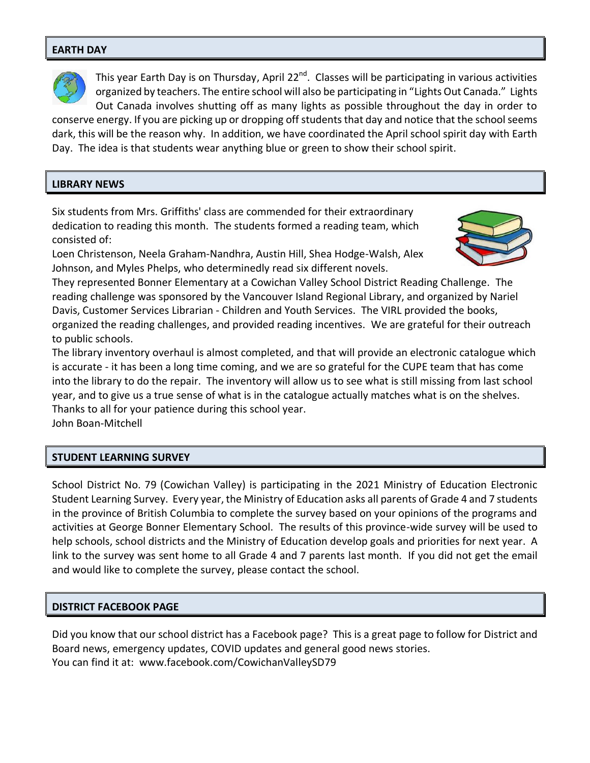#### **EARTH DAY**



This year Earth Day is on Thursday, April 22<sup>nd</sup>. Classes will be participating in various activities organized by teachers. The entire school will also be participating in "Lights Out Canada." Lights Out Canada involves shutting off as many lights as possible throughout the day in order to

conserve energy. If you are picking up or dropping off students that day and notice that the school seems dark, this will be the reason why. In addition, we have coordinated the April school spirit day with Earth Day. The idea is that students wear anything blue or green to show their school spirit.

#### **LIBRARY NEWS**

Six students from Mrs. Griffiths' class are commended for their extraordinary dedication to reading this month. The students formed a reading team, which consisted of:

Loen Christenson, Neela Graham-Nandhra, Austin Hill, Shea Hodge-Walsh, Alex Johnson, and Myles Phelps, who determinedly read six different novels.



They represented Bonner Elementary at a Cowichan Valley School District Reading Challenge. The reading challenge was sponsored by the Vancouver Island Regional Library, and organized by Nariel Davis, Customer Services Librarian - Children and Youth Services. The VIRL provided the books, organized the reading challenges, and provided reading incentives. We are grateful for their outreach to public schools.

The library inventory overhaul is almost completed, and that will provide an electronic catalogue which is accurate - it has been a long time coming, and we are so grateful for the CUPE team that has come into the library to do the repair. The inventory will allow us to see what is still missing from last school year, and to give us a true sense of what is in the catalogue actually matches what is on the shelves. Thanks to all for your patience during this school year.

John Boan-Mitchell

#### **STUDENT LEARNING SURVEY**

School District No. 79 (Cowichan Valley) is participating in the 2021 Ministry of Education Electronic Student Learning Survey. Every year, the Ministry of Education asks all parents of Grade 4 and 7 students in the province of British Columbia to complete the survey based on your opinions of the programs and activities at George Bonner Elementary School. The results of this province-wide survey will be used to help schools, school districts and the Ministry of Education develop goals and priorities for next year. A link to the survey was sent home to all Grade 4 and 7 parents last month. If you did not get the email and would like to complete the survey, please contact the school.

#### **DISTRICT FACEBOOK PAGE**

Did you know that our school district has a Facebook page? This is a great page to follow for District and Board news, emergency updates, COVID updates and general good news stories. You can find it at: [www.facebook.com/CowichanValleySD79](https://www.facebook.com/CowichanValleySD79)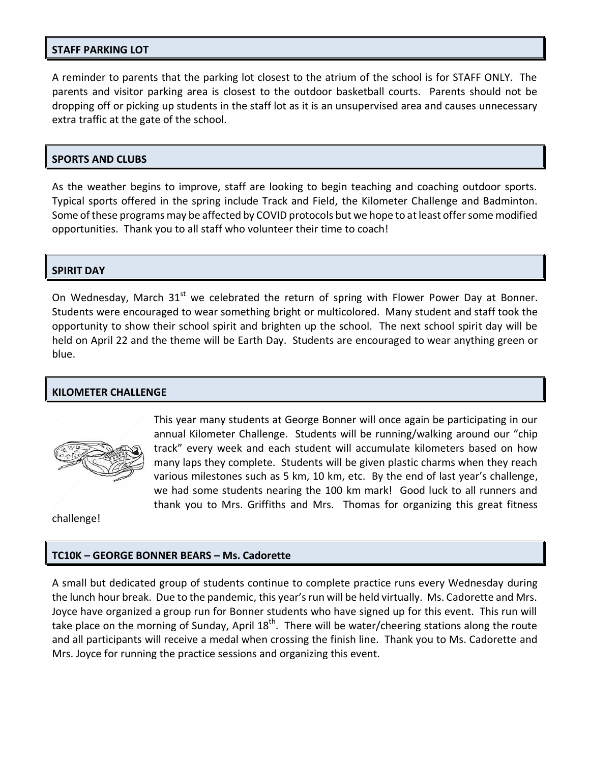#### **STAFF PARKING LOT**

A reminder to parents that the parking lot closest to the atrium of the school is for STAFF ONLY. The parents and visitor parking area is closest to the outdoor basketball courts. Parents should not be dropping off or picking up students in the staff lot as it is an unsupervised area and causes unnecessary extra traffic at the gate of the school.

#### **SPORTS AND CLUBS**

As the weather begins to improve, staff are looking to begin teaching and coaching outdoor sports. Typical sports offered in the spring include Track and Field, the Kilometer Challenge and Badminton. Some of these programs may be affected by COVID protocols but we hope to at least offer some modified opportunities. Thank you to all staff who volunteer their time to coach!

#### **SPIRIT DAY**

On Wednesday, March  $31<sup>st</sup>$  we celebrated the return of spring with Flower Power Day at Bonner. Students were encouraged to wear something bright or multicolored. Many student and staff took the opportunity to show their school spirit and brighten up the school. The next school spirit day will be held on April 22 and the theme will be Earth Day. Students are encouraged to wear anything green or blue.

#### **KILOMETER CHALLENGE**



This year many students at George Bonner will once again be participating in our annual Kilometer Challenge. Students will be running/walking around our "chip track" every week and each student will accumulate kilometers based on how many laps they complete. Students will be given plastic charms when they reach various milestones such as 5 km, 10 km, etc. By the end of last year's challenge, we had some students nearing the 100 km mark! Good luck to all runners and thank you to Mrs. Griffiths and Mrs. Thomas for organizing this great fitness

challenge!

#### **TC10K – GEORGE BONNER BEARS – Ms. Cadorette**

A small but dedicated group of students continue to complete practice runs every Wednesday during the lunch hour break. Due to the pandemic, this year's run will be held virtually. Ms. Cadorette and Mrs. Joyce have organized a group run for Bonner students who have signed up for this event. This run will take place on the morning of Sunday, April  $18<sup>th</sup>$ . There will be water/cheering stations along the route and all participants will receive a medal when crossing the finish line. Thank you to Ms. Cadorette and Mrs. Joyce for running the practice sessions and organizing this event.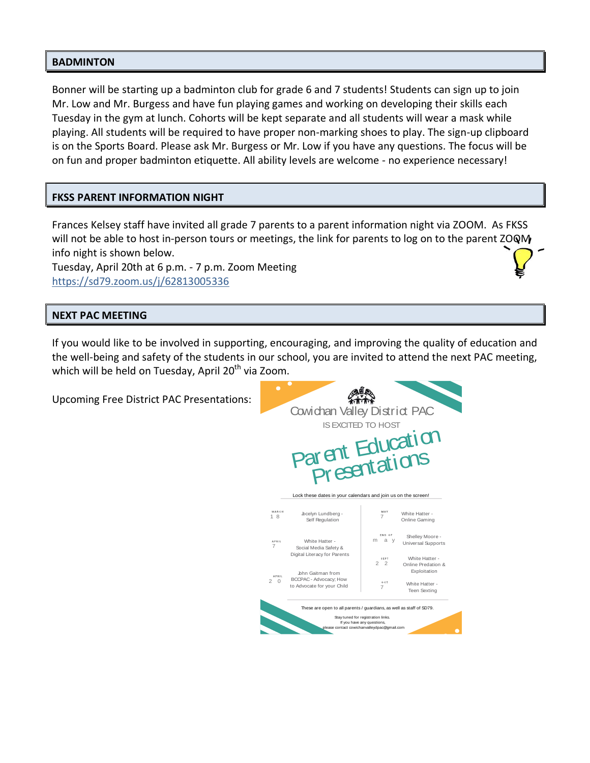#### **BADMINTON**

Bonner will be starting up a badminton club for grade 6 and 7 students! Students can sign up to join Mr. Low and Mr. Burgess and have fun playing games and working on developing their skills each Tuesday in the gym at lunch. Cohorts will be kept separate and all students will wear a mask while playing. All students will be required to have proper non-marking shoes to play. The sign-up clipboard is on the Sports Board. Please ask Mr. Burgess or Mr. Low if you have any questions. The focus will be on fun and proper badminton etiquette. All ability levels are welcome - no experience necessary!

#### **FKSS PARENT INFORMATION NIGHT**

Frances Kelsey staff have invited all grade 7 parents to a parent information night via ZOOM. As FKSS will not be able to host in-person tours or meetings, the link for parents to log on to the parent  $200M$ info night is shown below.

Tuesday, April 20th at 6 p.m. - 7 p.m. Zoom Meeting <https://sd79.zoom.us/j/62813005336>

#### **NEXT PAC MEETING**

If you would like to be involved in supporting, encouraging, and improving the quality of education and the well-being and safety of the students in our school, you are invited to attend the next PAC meeting, which will be held on Tuesday, April  $20<sup>th</sup>$  via Zoom.

Upcoming Free District PAC Presentations: Cowichan Valley District PAC Presentations: ISEXCITED TO HOST Parent Education<br>Presentations 1 8 Jocelyn Lundberg - Self Regulation 7 2 0 BCCPAC - Advocacy; How 7 m a y  $2 \frac{1}{2}$ 7 White Hatter - Online Gaming Shelley Moore Universal Supports White Hatter - Online Predation & Exploitation White Hatter - Teen Sexting John Gaitman from to Advocate for your Child White Hatter - Social Media Safety & Digital Literacy for Parents Lock these dates in your calendars and join us on the screen! These are open to all parents / guardians, as well as staff of SD79. Stay tuned for registration links. If you have any questions, please contact cowichanvalleydpac@gmail.com